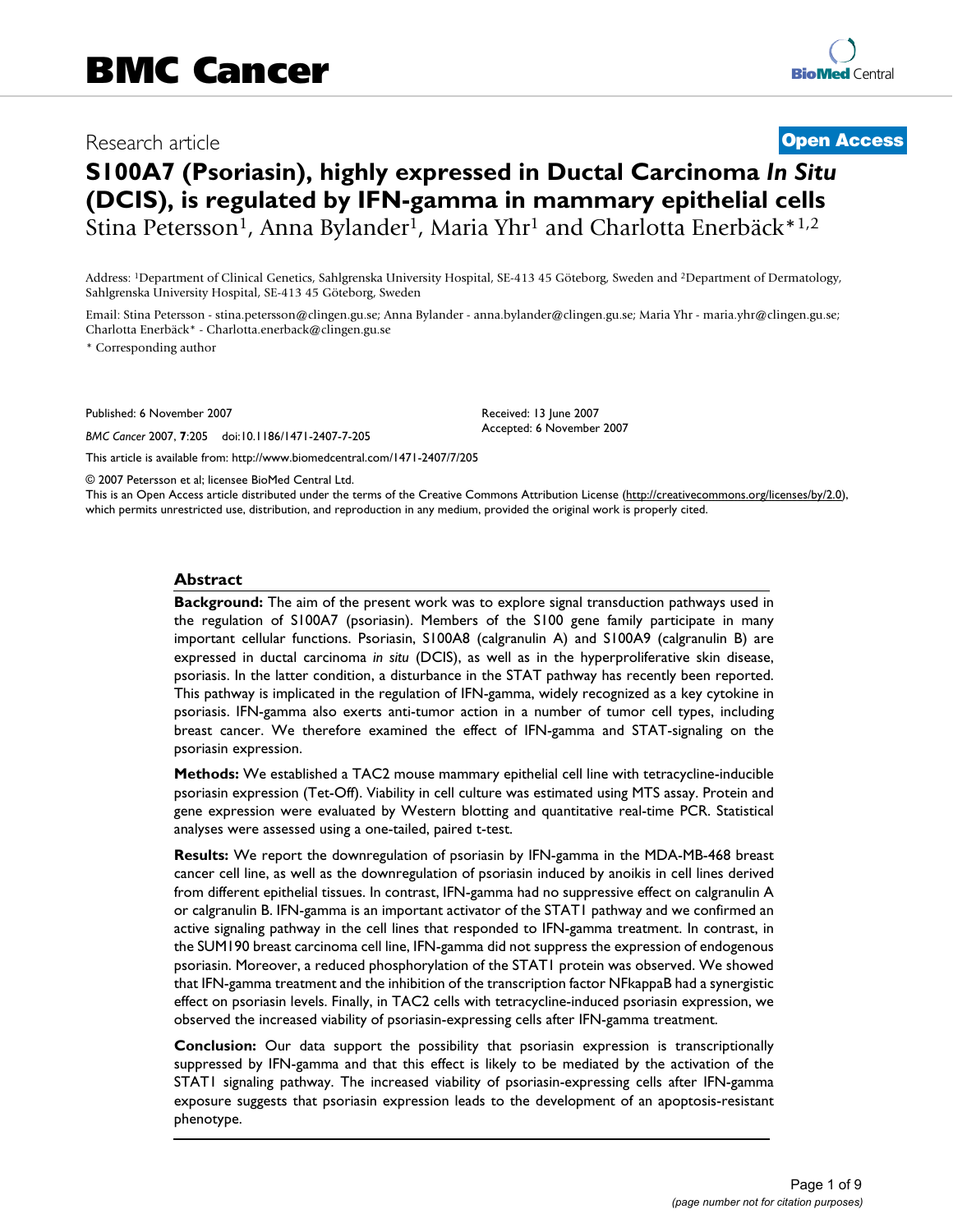# Research article **[Open Access](http://www.biomedcentral.com/info/about/charter/)**

# **S100A7 (Psoriasin), highly expressed in Ductal Carcinoma** *In Situ*  **(DCIS), is regulated by IFN-gamma in mammary epithelial cells** Stina Petersson<sup>1</sup>, Anna Bylander<sup>1</sup>, Maria Yhr<sup>1</sup> and Charlotta Enerbäck\*<sup>1,2</sup>

Address: 1Department of Clinical Genetics, Sahlgrenska University Hospital, SE-413 45 Göteborg, Sweden and 2Department of Dermatology, Sahlgrenska University Hospital, SE-413 45 Göteborg, Sweden

Email: Stina Petersson - stina.petersson@clingen.gu.se; Anna Bylander - anna.bylander@clingen.gu.se; Maria Yhr - maria.yhr@clingen.gu.se; Charlotta Enerbäck\* - Charlotta.enerback@clingen.gu.se

\* Corresponding author

Published: 6 November 2007

*BMC Cancer* 2007, **7**:205 doi:10.1186/1471-2407-7-205

Received: 13 June 2007 Accepted: 6 November 2007

© 2007 Petersson et al; licensee BioMed Central Ltd.

[This article is available from: http://www.biomedcentral.com/1471-2407/7/205](http://www.biomedcentral.com/1471-2407/7/205)

This is an Open Access article distributed under the terms of the Creative Commons Attribution License [\(http://creativecommons.org/licenses/by/2.0\)](http://creativecommons.org/licenses/by/2.0), which permits unrestricted use, distribution, and reproduction in any medium, provided the original work is properly cited.

#### **Abstract**

**Background:** The aim of the present work was to explore signal transduction pathways used in the regulation of S100A7 (psoriasin). Members of the S100 gene family participate in many important cellular functions. Psoriasin, S100A8 (calgranulin A) and S100A9 (calgranulin B) are expressed in ductal carcinoma *in situ* (DCIS), as well as in the hyperproliferative skin disease, psoriasis. In the latter condition, a disturbance in the STAT pathway has recently been reported. This pathway is implicated in the regulation of IFN-gamma, widely recognized as a key cytokine in psoriasis. IFN-gamma also exerts anti-tumor action in a number of tumor cell types, including breast cancer. We therefore examined the effect of IFN-gamma and STAT-signaling on the psoriasin expression.

**Methods:** We established a TAC2 mouse mammary epithelial cell line with tetracycline-inducible psoriasin expression (Tet-Off). Viability in cell culture was estimated using MTS assay. Protein and gene expression were evaluated by Western blotting and quantitative real-time PCR. Statistical analyses were assessed using a one-tailed, paired t-test.

**Results:** We report the downregulation of psoriasin by IFN-gamma in the MDA-MB-468 breast cancer cell line, as well as the downregulation of psoriasin induced by anoikis in cell lines derived from different epithelial tissues. In contrast, IFN-gamma had no suppressive effect on calgranulin A or calgranulin B. IFN-gamma is an important activator of the STAT1 pathway and we confirmed an active signaling pathway in the cell lines that responded to IFN-gamma treatment. In contrast, in the SUM190 breast carcinoma cell line, IFN-gamma did not suppress the expression of endogenous psoriasin. Moreover, a reduced phosphorylation of the STAT1 protein was observed. We showed that IFN-gamma treatment and the inhibition of the transcription factor NFkappaB had a synergistic effect on psoriasin levels. Finally, in TAC2 cells with tetracycline-induced psoriasin expression, we observed the increased viability of psoriasin-expressing cells after IFN-gamma treatment.

**Conclusion:** Our data support the possibility that psoriasin expression is transcriptionally suppressed by IFN-gamma and that this effect is likely to be mediated by the activation of the STAT1 signaling pathway. The increased viability of psoriasin-expressing cells after IFN-gamma exposure suggests that psoriasin expression leads to the development of an apoptosis-resistant phenotype.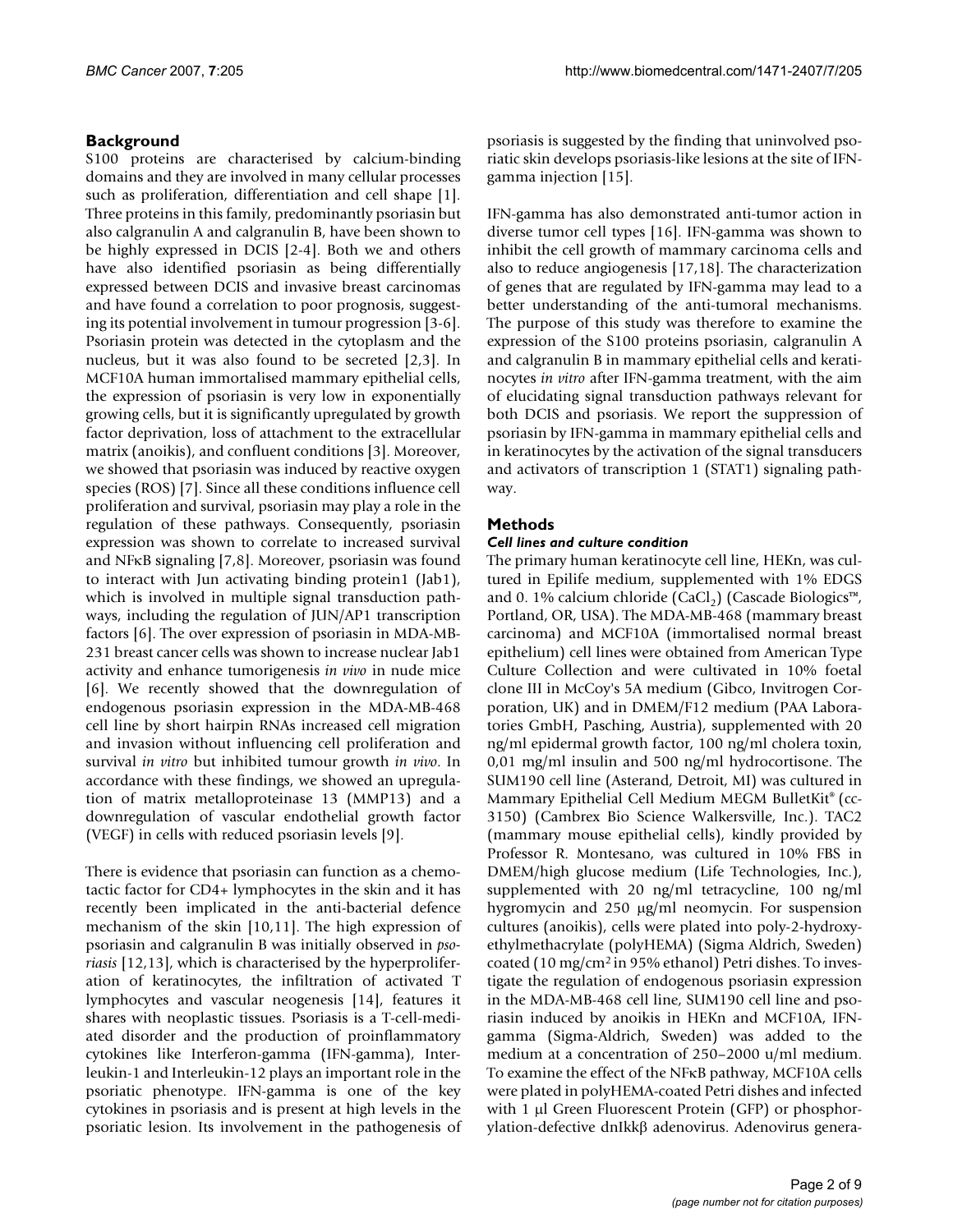# **Background**

S100 proteins are characterised by calcium-binding domains and they are involved in many cellular processes such as proliferation, differentiation and cell shape [1]. Three proteins in this family, predominantly psoriasin but also calgranulin A and calgranulin B, have been shown to be highly expressed in DCIS [2-4]. Both we and others have also identified psoriasin as being differentially expressed between DCIS and invasive breast carcinomas and have found a correlation to poor prognosis, suggesting its potential involvement in tumour progression [3-6]. Psoriasin protein was detected in the cytoplasm and the nucleus, but it was also found to be secreted [2,3]. In MCF10A human immortalised mammary epithelial cells, the expression of psoriasin is very low in exponentially growing cells, but it is significantly upregulated by growth factor deprivation, loss of attachment to the extracellular matrix (anoikis), and confluent conditions [3]. Moreover, we showed that psoriasin was induced by reactive oxygen species (ROS) [7]. Since all these conditions influence cell proliferation and survival, psoriasin may play a role in the regulation of these pathways. Consequently, psoriasin expression was shown to correlate to increased survival and NFκB signaling [7,8]. Moreover, psoriasin was found to interact with Jun activating binding protein1 (Jab1), which is involved in multiple signal transduction pathways, including the regulation of JUN/AP1 transcription factors [6]. The over expression of psoriasin in MDA-MB-231 breast cancer cells was shown to increase nuclear Jab1 activity and enhance tumorigenesis *in vivo* in nude mice [6]. We recently showed that the downregulation of endogenous psoriasin expression in the MDA-MB-468 cell line by short hairpin RNAs increased cell migration and invasion without influencing cell proliferation and survival *in vitro* but inhibited tumour growth *in vivo*. In accordance with these findings, we showed an upregulation of matrix metalloproteinase 13 (MMP13) and a downregulation of vascular endothelial growth factor (VEGF) in cells with reduced psoriasin levels [9].

There is evidence that psoriasin can function as a chemotactic factor for CD4+ lymphocytes in the skin and it has recently been implicated in the anti-bacterial defence mechanism of the skin [10,11]. The high expression of psoriasin and calgranulin B was initially observed in *psoriasis* [12,13], which is characterised by the hyperproliferation of keratinocytes, the infiltration of activated T lymphocytes and vascular neogenesis [14], features it shares with neoplastic tissues. Psoriasis is a T-cell-mediated disorder and the production of proinflammatory cytokines like Interferon-gamma (IFN-gamma), Interleukin-1 and Interleukin-12 plays an important role in the psoriatic phenotype. IFN-gamma is one of the key cytokines in psoriasis and is present at high levels in the psoriatic lesion. Its involvement in the pathogenesis of psoriasis is suggested by the finding that uninvolved psoriatic skin develops psoriasis-like lesions at the site of IFNgamma injection [15].

IFN-gamma has also demonstrated anti-tumor action in diverse tumor cell types [16]. IFN-gamma was shown to inhibit the cell growth of mammary carcinoma cells and also to reduce angiogenesis [17,18]. The characterization of genes that are regulated by IFN-gamma may lead to a better understanding of the anti-tumoral mechanisms. The purpose of this study was therefore to examine the expression of the S100 proteins psoriasin, calgranulin A and calgranulin B in mammary epithelial cells and keratinocytes *in vitro* after IFN-gamma treatment, with the aim of elucidating signal transduction pathways relevant for both DCIS and psoriasis. We report the suppression of psoriasin by IFN-gamma in mammary epithelial cells and in keratinocytes by the activation of the signal transducers and activators of transcription 1 (STAT1) signaling pathway.

# **Methods**

### *Cell lines and culture condition*

The primary human keratinocyte cell line, HEKn, was cultured in Epilife medium, supplemented with 1% EDGS and 0. 1% calcium chloride (CaCl<sub>2</sub>) (Cascade Biologics™, Portland, OR, USA). The MDA-MB-468 (mammary breast carcinoma) and MCF10A (immortalised normal breast epithelium) cell lines were obtained from American Type Culture Collection and were cultivated in 10% foetal clone III in McCoy's 5A medium (Gibco, Invitrogen Corporation, UK) and in DMEM/F12 medium (PAA Laboratories GmbH, Pasching, Austria), supplemented with 20 ng/ml epidermal growth factor, 100 ng/ml cholera toxin, 0,01 mg/ml insulin and 500 ng/ml hydrocortisone. The SUM190 cell line (Asterand, Detroit, MI) was cultured in Mammary Epithelial Cell Medium MEGM BulletKit® (cc-3150) (Cambrex Bio Science Walkersville, Inc.). TAC2 (mammary mouse epithelial cells), kindly provided by Professor R. Montesano, was cultured in 10% FBS in DMEM/high glucose medium (Life Technologies, Inc.), supplemented with 20 ng/ml tetracycline, 100 ng/ml hygromycin and 250 µg/ml neomycin. For suspension cultures (anoikis), cells were plated into poly-2-hydroxyethylmethacrylate (polyHEMA) (Sigma Aldrich, Sweden) coated (10 mg/cm2 in 95% ethanol) Petri dishes. To investigate the regulation of endogenous psoriasin expression in the MDA-MB-468 cell line, SUM190 cell line and psoriasin induced by anoikis in HEKn and MCF10A, IFNgamma (Sigma-Aldrich, Sweden) was added to the medium at a concentration of 250–2000 u/ml medium. To examine the effect of the NFκB pathway, MCF10A cells were plated in polyHEMA-coated Petri dishes and infected with 1 µl Green Fluorescent Protein (GFP) or phosphorylation-defective dnIkkβ adenovirus. Adenovirus genera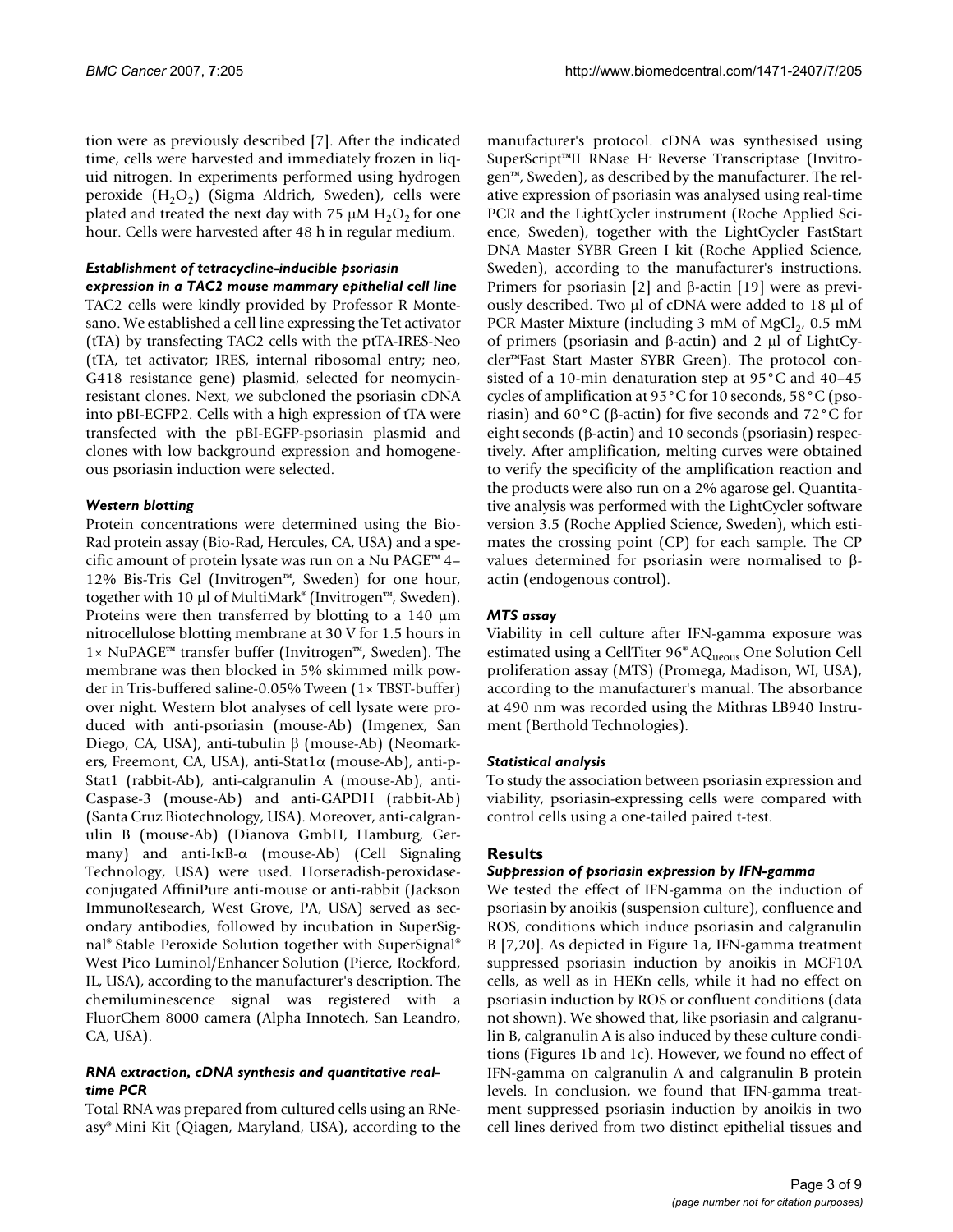tion were as previously described [7]. After the indicated time, cells were harvested and immediately frozen in liquid nitrogen. In experiments performed using hydrogen peroxide  $(H_2O_2)$  (Sigma Aldrich, Sweden), cells were plated and treated the next day with 75  $\mu$ M H<sub>2</sub>O<sub>2</sub> for one hour. Cells were harvested after 48 h in regular medium.

### *Establishment of tetracycline-inducible psoriasin*

*expression in a TAC2 mouse mammary epithelial cell line* TAC2 cells were kindly provided by Professor R Montesano. We established a cell line expressing the Tet activator (tTA) by transfecting TAC2 cells with the ptTA-IRES-Neo (tTA, tet activator; IRES, internal ribosomal entry; neo, G418 resistance gene) plasmid, selected for neomycinresistant clones. Next, we subcloned the psoriasin cDNA into pBI-EGFP2. Cells with a high expression of tTA were transfected with the pBI-EGFP-psoriasin plasmid and clones with low background expression and homogeneous psoriasin induction were selected.

### *Western blotting*

Protein concentrations were determined using the Bio-Rad protein assay (Bio-Rad, Hercules, CA, USA) and a specific amount of protein lysate was run on a Nu PAGE™ 4– 12% Bis-Tris Gel (Invitrogen™, Sweden) for one hour, together with 10 µl of MultiMark® (Invitrogen™, Sweden). Proteins were then transferred by blotting to a 140  $\mu$ m nitrocellulose blotting membrane at 30 V for 1.5 hours in 1× NuPAGE™ transfer buffer (Invitrogen™, Sweden). The membrane was then blocked in 5% skimmed milk powder in Tris-buffered saline-0.05% Tween (1× TBST-buffer) over night. Western blot analyses of cell lysate were produced with anti-psoriasin (mouse-Ab) (Imgenex, San Diego, CA, USA), anti-tubulin β (mouse-Ab) (Neomarkers, Freemont, CA, USA), anti-Stat1 $\alpha$  (mouse-Ab), anti-p-Stat1 (rabbit-Ab), anti-calgranulin A (mouse-Ab), anti-Caspase-3 (mouse-Ab) and anti-GAPDH (rabbit-Ab) (Santa Cruz Biotechnology, USA). Moreover, anti-calgranulin B (mouse-Ab) (Dianova GmbH, Hamburg, Germany) and anti-IκB-α (mouse-Ab) (Cell Signaling Technology, USA) were used. Horseradish-peroxidaseconjugated AffiniPure anti-mouse or anti-rabbit (Jackson ImmunoResearch, West Grove, PA, USA) served as secondary antibodies, followed by incubation in SuperSignal® Stable Peroxide Solution together with SuperSignal® West Pico Luminol/Enhancer Solution (Pierce, Rockford, IL, USA), according to the manufacturer's description. The chemiluminescence signal was registered with a FluorChem 8000 camera (Alpha Innotech, San Leandro, CA, USA).

#### *RNA extraction, cDNA synthesis and quantitative realtime PCR*

Total RNA was prepared from cultured cells using an RNeasy® Mini Kit (Qiagen, Maryland, USA), according to the manufacturer's protocol. cDNA was synthesised using SuperScript™II RNase H- Reverse Transcriptase (Invitrogen™, Sweden), as described by the manufacturer. The relative expression of psoriasin was analysed using real-time PCR and the LightCycler instrument (Roche Applied Science, Sweden), together with the LightCycler FastStart DNA Master SYBR Green I kit (Roche Applied Science, Sweden), according to the manufacturer's instructions. Primers for psoriasin [2] and β-actin [19] were as previously described. Two µl of cDNA were added to 18 µl of PCR Master Mixture (including 3 mM of MgCl $_2$ , 0.5 mM of primers (psoriasin and β-actin) and 2 µl of LightCycler™Fast Start Master SYBR Green). The protocol consisted of a 10-min denaturation step at 95°C and 40–45 cycles of amplification at 95°C for 10 seconds, 58°C (psoriasin) and 60 $\rm{°C}$  (β-actin) for five seconds and 72 $\rm{°C}$  for eight seconds (β-actin) and 10 seconds (psoriasin) respectively. After amplification, melting curves were obtained to verify the specificity of the amplification reaction and the products were also run on a 2% agarose gel. Quantitative analysis was performed with the LightCycler software version 3.5 (Roche Applied Science, Sweden), which estimates the crossing point (CP) for each sample. The CP values determined for psoriasin were normalised to βactin (endogenous control).

# *MTS assay*

Viability in cell culture after IFN-gamma exposure was estimated using a CellTiter 96<sup>®</sup> AQ<sub>ueous</sub> One Solution Cell proliferation assay (MTS) (Promega, Madison, WI, USA), according to the manufacturer's manual. The absorbance at 490 nm was recorded using the Mithras LB940 Instrument (Berthold Technologies).

### *Statistical analysis*

To study the association between psoriasin expression and viability, psoriasin-expressing cells were compared with control cells using a one-tailed paired t-test.

# **Results**

# *Suppression of psoriasin expression by IFN-gamma*

We tested the effect of IFN-gamma on the induction of psoriasin by anoikis (suspension culture), confluence and ROS, conditions which induce psoriasin and calgranulin B [7,20]. As depicted in Figure 1a, IFN-gamma treatment suppressed psoriasin induction by anoikis in MCF10A cells, as well as in HEKn cells, while it had no effect on psoriasin induction by ROS or confluent conditions (data not shown). We showed that, like psoriasin and calgranulin B, calgranulin A is also induced by these culture conditions (Figures 1b and 1c). However, we found no effect of IFN-gamma on calgranulin A and calgranulin B protein levels. In conclusion, we found that IFN-gamma treatment suppressed psoriasin induction by anoikis in two cell lines derived from two distinct epithelial tissues and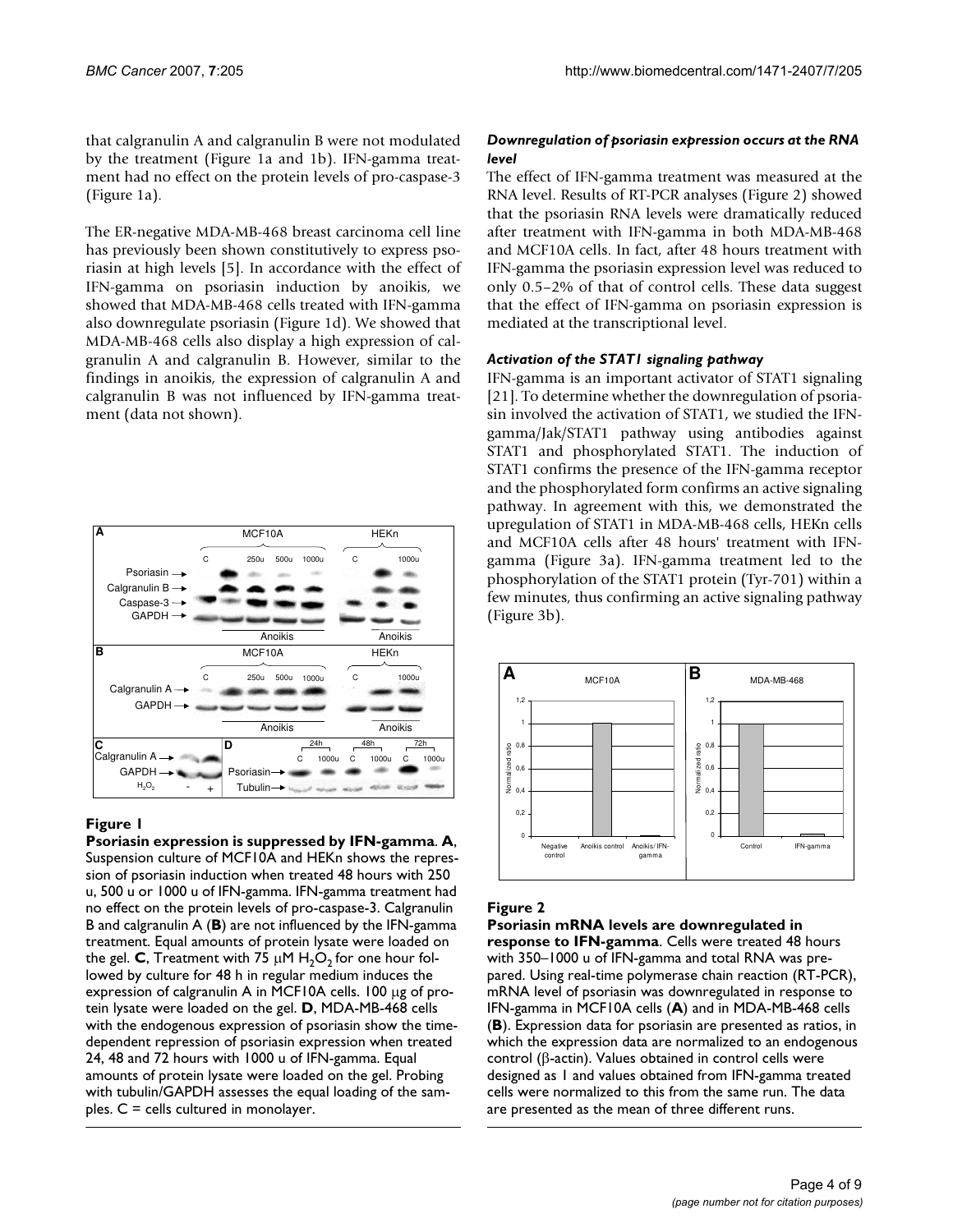that calgranulin A and calgranulin B were not modulated by the treatment (Figure 1a and 1b). IFN-gamma treatment had no effect on the protein levels of pro-caspase-3 (Figure 1a).

The ER-negative MDA-MB-468 breast carcinoma cell line has previously been shown constitutively to express psoriasin at high levels [5]. In accordance with the effect of IFN-gamma on psoriasin induction by anoikis, we showed that MDA-MB-468 cells treated with IFN-gamma also downregulate psoriasin (Figure 1d). We showed that MDA-MB-468 cells also display a high expression of calgranulin A and calgranulin B. However, similar to the findings in anoikis, the expression of calgranulin A and calgranulin B was not influenced by IFN-gamma treatment (data not shown).



# **Figure 1**

**Psoriasin expression is suppressed by IFN-gamma**. **A**, Suspension culture of MCF10A and HEKn shows the repression of psoriasin induction when treated 48 hours with 250 u, 500 u or 1000 u of IFN-gamma. IFN-gamma treatment had no effect on the protein levels of pro-caspase-3. Calgranulin B and calgranulin A (**B**) are not influenced by the IFN-gamma treatment. Equal amounts of protein lysate were loaded on the gel. **C**, Treatment with 75  $\mu$ M H<sub>2</sub>O<sub>2</sub> for one hour followed by culture for 48 h in regular medium induces the expression of calgranulin A in MCF10A cells. 100 µg of protein lysate were loaded on the gel. **D**, MDA-MB-468 cells with the endogenous expression of psoriasin show the timedependent repression of psoriasin expression when treated 24, 48 and 72 hours with 1000 u of IFN-gamma. Equal amounts of protein lysate were loaded on the gel. Probing with tubulin/GAPDH assesses the equal loading of the samples. C = cells cultured in monolayer.

# *Downregulation of psoriasin expression occurs at the RNA level*

The effect of IFN-gamma treatment was measured at the RNA level. Results of RT-PCR analyses (Figure 2) showed that the psoriasin RNA levels were dramatically reduced after treatment with IFN-gamma in both MDA-MB-468 and MCF10A cells. In fact, after 48 hours treatment with IFN-gamma the psoriasin expression level was reduced to only 0.5–2% of that of control cells. These data suggest that the effect of IFN-gamma on psoriasin expression is mediated at the transcriptional level.

### *Activation of the STAT1 signaling pathway*

IFN-gamma is an important activator of STAT1 signaling [21]. To determine whether the downregulation of psoriasin involved the activation of STAT1, we studied the IFNgamma/Jak/STAT1 pathway using antibodies against STAT1 and phosphorylated STAT1. The induction of STAT1 confirms the presence of the IFN-gamma receptor and the phosphorylated form confirms an active signaling pathway. In agreement with this, we demonstrated the upregulation of STAT1 in MDA-MB-468 cells, HEKn cells and MCF10A cells after 48 hours' treatment with IFNgamma (Figure 3a). IFN-gamma treatment led to the phosphorylation of the STAT1 protein (Tyr-701) within a few minutes, thus confirming an active signaling pathway (Figure 3b).



# **Figure 2**

**Psoriasin mRNA levels are downregulated in response to IFN-gamma**. Cells were treated 48 hours with 350–1000 u of IFN-gamma and total RNA was prepared. Using real-time polymerase chain reaction (RT-PCR), mRNA level of psoriasin was downregulated in response to IFN-gamma in MCF10A cells (**A**) and in MDA-MB-468 cells (**B**). Expression data for psoriasin are presented as ratios, in which the expression data are normalized to an endogenous control (β-actin). Values obtained in control cells were designed as 1 and values obtained from IFN-gamma treated cells were normalized to this from the same run. The data are presented as the mean of three different runs.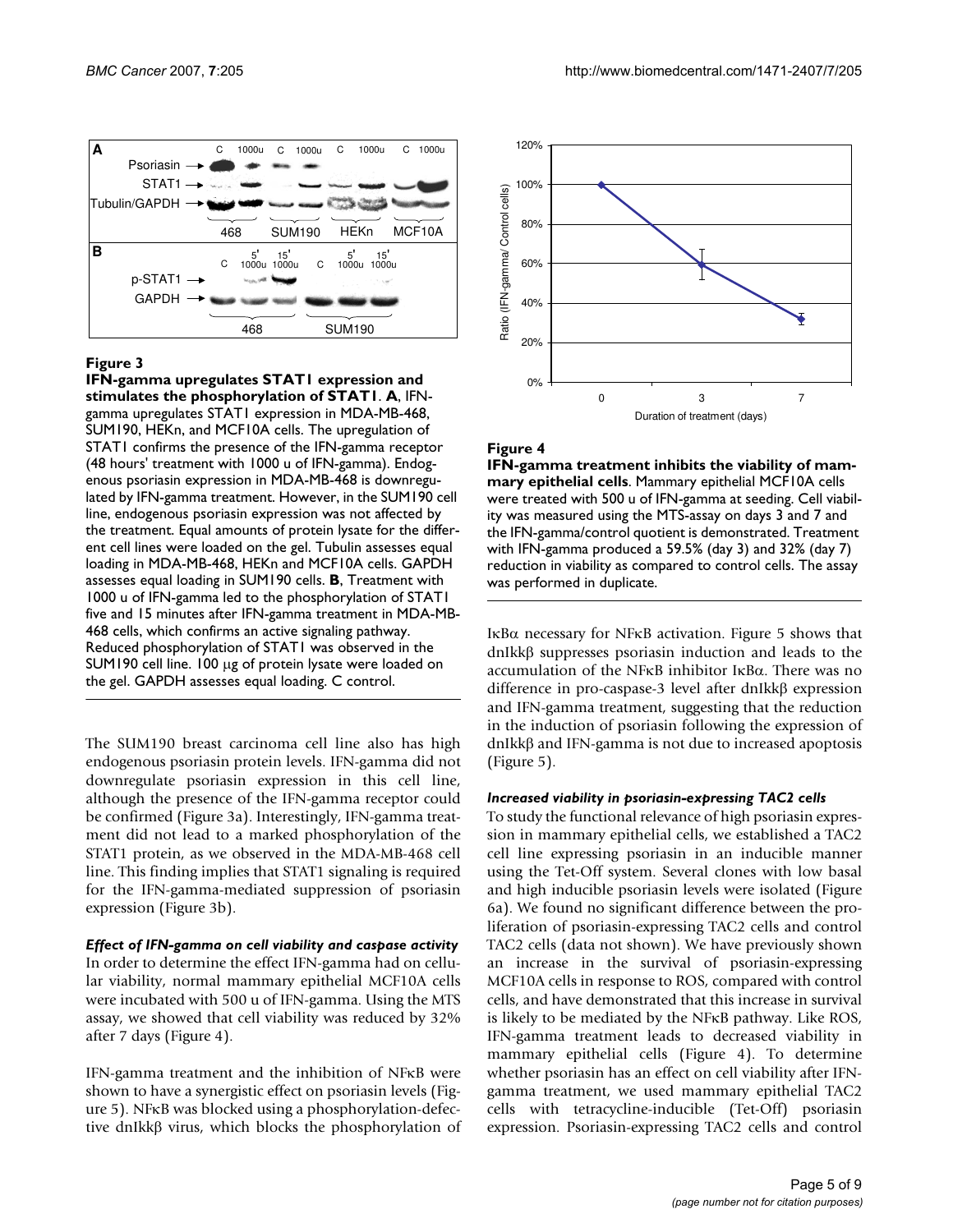

### **Figure 3**

**IFN-gamma upregulates STAT1 expression and stimulates the phosphorylation of STAT1**. **A**, IFNgamma upregulates STAT1 expression in MDA-MB-468, SUM190, HEKn, and MCF10A cells. The upregulation of STAT1 confirms the presence of the IFN-gamma receptor (48 hours' treatment with 1000 u of IFN-gamma). Endogenous psoriasin expression in MDA-MB-468 is downregulated by IFN-gamma treatment. However, in the SUM190 cell line, endogenous psoriasin expression was not affected by the treatment. Equal amounts of protein lysate for the different cell lines were loaded on the gel. Tubulin assesses equal loading in MDA-MB-468, HEKn and MCF10A cells. GAPDH assesses equal loading in SUM190 cells. **B**, Treatment with 1000 u of IFN-gamma led to the phosphorylation of STAT1 five and 15 minutes after IFN-gamma treatment in MDA-MB-468 cells, which confirms an active signaling pathway. Reduced phosphorylation of STAT1 was observed in the SUM190 cell line. 100 µg of protein lysate were loaded on the gel. GAPDH assesses equal loading. C control.

The SUM190 breast carcinoma cell line also has high endogenous psoriasin protein levels. IFN-gamma did not downregulate psoriasin expression in this cell line, although the presence of the IFN-gamma receptor could be confirmed (Figure 3a). Interestingly, IFN-gamma treatment did not lead to a marked phosphorylation of the STAT1 protein, as we observed in the MDA-MB-468 cell line. This finding implies that STAT1 signaling is required for the IFN-gamma-mediated suppression of psoriasin expression (Figure 3b).

*Effect of IFN-gamma on cell viability and caspase activity* In order to determine the effect IFN-gamma had on cellular viability, normal mammary epithelial MCF10A cells were incubated with 500 u of IFN-gamma. Using the MTS assay, we showed that cell viability was reduced by 32% after 7 days (Figure 4).

IFN-gamma treatment and the inhibition of NFκB were shown to have a synergistic effect on psoriasin levels (Figure 5). NFκB was blocked using a phosphorylation-defective dnIkkβ virus, which blocks the phosphorylation of



#### Figure 4

**IFN-gamma treatment inhibits the viability of mammary epithelial cells**. Mammary epithelial MCF10A cells were treated with 500 u of IFN-gamma at seeding. Cell viability was measured using the MTS-assay on days 3 and 7 and the IFN-gamma/control quotient is demonstrated. Treatment with IFN-gamma produced a 59.5% (day 3) and 32% (day 7) reduction in viability as compared to control cells. The assay was performed in duplicate.

IκBα necessary for NFκB activation. Figure 5 shows that dnIkkβ suppresses psoriasin induction and leads to the accumulation of the NFκB inhibitor IκBα. There was no difference in pro-caspase-3 level after dnIkkβ expression and IFN-gamma treatment, suggesting that the reduction in the induction of psoriasin following the expression of dnIkkβ and IFN-gamma is not due to increased apoptosis (Figure 5).

### *Increased viability in psoriasin-expressing TAC2 cells*

To study the functional relevance of high psoriasin expression in mammary epithelial cells, we established a TAC2 cell line expressing psoriasin in an inducible manner using the Tet-Off system. Several clones with low basal and high inducible psoriasin levels were isolated (Figure 6a). We found no significant difference between the proliferation of psoriasin-expressing TAC2 cells and control TAC2 cells (data not shown). We have previously shown an increase in the survival of psoriasin-expressing MCF10A cells in response to ROS, compared with control cells, and have demonstrated that this increase in survival is likely to be mediated by the NFκB pathway. Like ROS, IFN-gamma treatment leads to decreased viability in mammary epithelial cells (Figure 4). To determine whether psoriasin has an effect on cell viability after IFNgamma treatment, we used mammary epithelial TAC2 cells with tetracycline-inducible (Tet-Off) psoriasin expression. Psoriasin-expressing TAC2 cells and control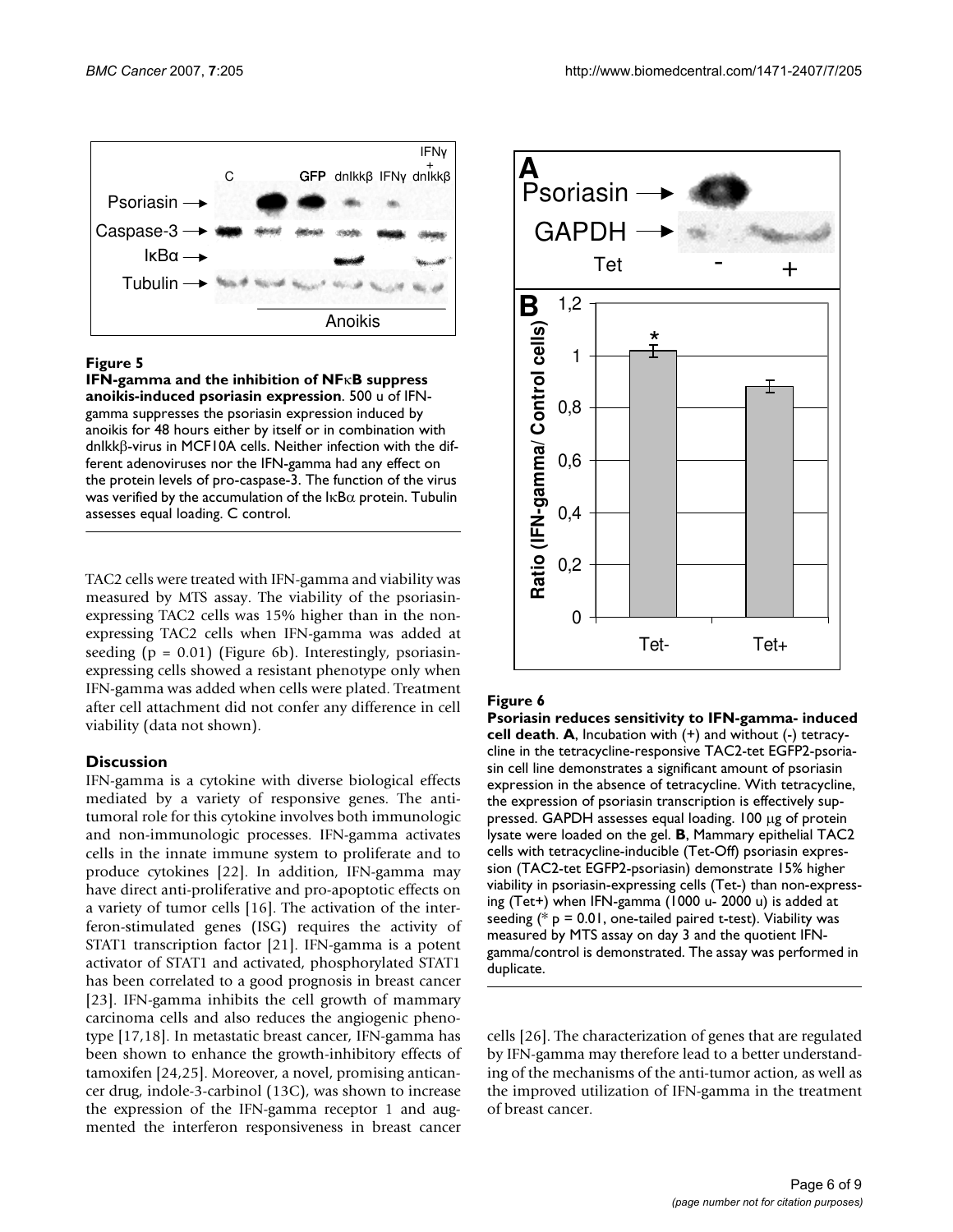

# Figure 5

**IFN-gamma and the inhibition of NF**κ**B suppress anoikis-induced psoriasin expression**. 500 u of IFNgamma suppresses the psoriasin expression induced by anoikis for 48 hours either by itself or in combination with dnIkkβ-virus in MCF10A cells. Neither infection with the different adenoviruses nor the IFN-gamma had any effect on the protein levels of pro-caspase-3. The function of the virus was verified by the accumulation of the  $\text{lkB}\alpha$  protein. Tubulin assesses equal loading. C control.

TAC2 cells were treated with IFN-gamma and viability was measured by MTS assay. The viability of the psoriasinexpressing TAC2 cells was 15% higher than in the nonexpressing TAC2 cells when IFN-gamma was added at seeding  $(p = 0.01)$  (Figure 6b). Interestingly, psoriasinexpressing cells showed a resistant phenotype only when IFN-gamma was added when cells were plated. Treatment after cell attachment did not confer any difference in cell viability (data not shown).

# **Discussion**

IFN-gamma is a cytokine with diverse biological effects mediated by a variety of responsive genes. The antitumoral role for this cytokine involves both immunologic and non-immunologic processes. IFN-gamma activates cells in the innate immune system to proliferate and to produce cytokines [22]. In addition, IFN-gamma may have direct anti-proliferative and pro-apoptotic effects on a variety of tumor cells [16]. The activation of the interferon-stimulated genes (ISG) requires the activity of STAT1 transcription factor [21]. IFN-gamma is a potent activator of STAT1 and activated, phosphorylated STAT1 has been correlated to a good prognosis in breast cancer [23]. IFN-gamma inhibits the cell growth of mammary carcinoma cells and also reduces the angiogenic phenotype [17,18]. In metastatic breast cancer, IFN-gamma has been shown to enhance the growth-inhibitory effects of tamoxifen [24,25]. Moreover, a novel, promising anticancer drug, indole-3-carbinol (13C), was shown to increase the expression of the IFN-gamma receptor 1 and augmented the interferon responsiveness in breast cancer



# **Figure 6**

**Psoriasin reduces sensitivity to IFN-gamma- induced cell death**. **A**, Incubation with (+) and without (-) tetracycline in the tetracycline-responsive TAC2-tet EGFP2-psoriasin cell line demonstrates a significant amount of psoriasin expression in the absence of tetracycline. With tetracycline, the expression of psoriasin transcription is effectively suppressed. GAPDH assesses equal loading. 100 µg of protein lysate were loaded on the gel. **B**, Mammary epithelial TAC2 cells with tetracycline-inducible (Tet-Off) psoriasin expression (TAC2-tet EGFP2-psoriasin) demonstrate 15% higher viability in psoriasin-expressing cells (Tet-) than non-expressing (Tet+) when IFN-gamma (1000 u- 2000 u) is added at seeding  $(* p = 0.01,$  one-tailed paired t-test). Viability was measured by MTS assay on day 3 and the quotient IFNgamma/control is demonstrated. The assay was performed in duplicate.

cells [26]. The characterization of genes that are regulated by IFN-gamma may therefore lead to a better understanding of the mechanisms of the anti-tumor action, as well as the improved utilization of IFN-gamma in the treatment of breast cancer.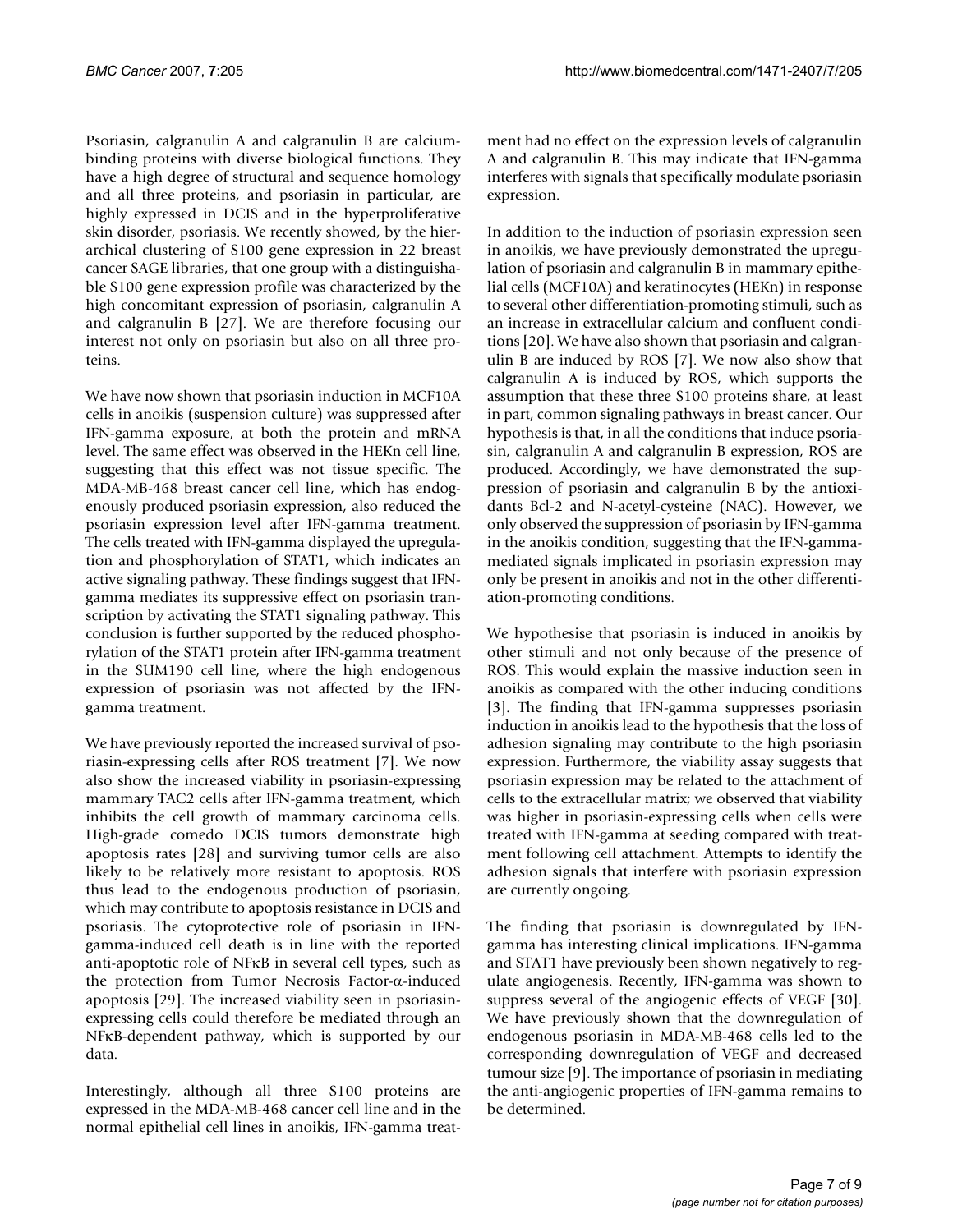Psoriasin, calgranulin A and calgranulin B are calciumbinding proteins with diverse biological functions. They have a high degree of structural and sequence homology and all three proteins, and psoriasin in particular, are highly expressed in DCIS and in the hyperproliferative skin disorder, psoriasis. We recently showed, by the hierarchical clustering of S100 gene expression in 22 breast cancer SAGE libraries, that one group with a distinguishable S100 gene expression profile was characterized by the high concomitant expression of psoriasin, calgranulin A and calgranulin B [27]. We are therefore focusing our interest not only on psoriasin but also on all three proteins.

We have now shown that psoriasin induction in MCF10A cells in anoikis (suspension culture) was suppressed after IFN-gamma exposure, at both the protein and mRNA level. The same effect was observed in the HEKn cell line, suggesting that this effect was not tissue specific. The MDA-MB-468 breast cancer cell line, which has endogenously produced psoriasin expression, also reduced the psoriasin expression level after IFN-gamma treatment. The cells treated with IFN-gamma displayed the upregulation and phosphorylation of STAT1, which indicates an active signaling pathway. These findings suggest that IFNgamma mediates its suppressive effect on psoriasin transcription by activating the STAT1 signaling pathway. This conclusion is further supported by the reduced phosphorylation of the STAT1 protein after IFN-gamma treatment in the SUM190 cell line, where the high endogenous expression of psoriasin was not affected by the IFNgamma treatment.

We have previously reported the increased survival of psoriasin-expressing cells after ROS treatment [7]. We now also show the increased viability in psoriasin-expressing mammary TAC2 cells after IFN-gamma treatment, which inhibits the cell growth of mammary carcinoma cells. High-grade comedo DCIS tumors demonstrate high apoptosis rates [28] and surviving tumor cells are also likely to be relatively more resistant to apoptosis. ROS thus lead to the endogenous production of psoriasin, which may contribute to apoptosis resistance in DCIS and psoriasis. The cytoprotective role of psoriasin in IFNgamma-induced cell death is in line with the reported anti-apoptotic role of NFκB in several cell types, such as the protection from Tumor Necrosis Factor-α-induced apoptosis [29]. The increased viability seen in psoriasinexpressing cells could therefore be mediated through an NFκB-dependent pathway, which is supported by our data.

Interestingly, although all three S100 proteins are expressed in the MDA-MB-468 cancer cell line and in the normal epithelial cell lines in anoikis, IFN-gamma treatment had no effect on the expression levels of calgranulin A and calgranulin B. This may indicate that IFN-gamma interferes with signals that specifically modulate psoriasin expression.

In addition to the induction of psoriasin expression seen in anoikis, we have previously demonstrated the upregulation of psoriasin and calgranulin B in mammary epithelial cells (MCF10A) and keratinocytes (HEKn) in response to several other differentiation-promoting stimuli, such as an increase in extracellular calcium and confluent conditions [20]. We have also shown that psoriasin and calgranulin B are induced by ROS [7]. We now also show that calgranulin A is induced by ROS, which supports the assumption that these three S100 proteins share, at least in part, common signaling pathways in breast cancer. Our hypothesis is that, in all the conditions that induce psoriasin, calgranulin A and calgranulin B expression, ROS are produced. Accordingly, we have demonstrated the suppression of psoriasin and calgranulin B by the antioxidants Bcl-2 and N-acetyl-cysteine (NAC). However, we only observed the suppression of psoriasin by IFN-gamma in the anoikis condition, suggesting that the IFN-gammamediated signals implicated in psoriasin expression may only be present in anoikis and not in the other differentiation-promoting conditions.

We hypothesise that psoriasin is induced in anoikis by other stimuli and not only because of the presence of ROS. This would explain the massive induction seen in anoikis as compared with the other inducing conditions [3]. The finding that IFN-gamma suppresses psoriasin induction in anoikis lead to the hypothesis that the loss of adhesion signaling may contribute to the high psoriasin expression. Furthermore, the viability assay suggests that psoriasin expression may be related to the attachment of cells to the extracellular matrix; we observed that viability was higher in psoriasin-expressing cells when cells were treated with IFN-gamma at seeding compared with treatment following cell attachment. Attempts to identify the adhesion signals that interfere with psoriasin expression are currently ongoing.

The finding that psoriasin is downregulated by IFNgamma has interesting clinical implications. IFN-gamma and STAT1 have previously been shown negatively to regulate angiogenesis. Recently, IFN-gamma was shown to suppress several of the angiogenic effects of VEGF [30]. We have previously shown that the downregulation of endogenous psoriasin in MDA-MB-468 cells led to the corresponding downregulation of VEGF and decreased tumour size [9]. The importance of psoriasin in mediating the anti-angiogenic properties of IFN-gamma remains to be determined.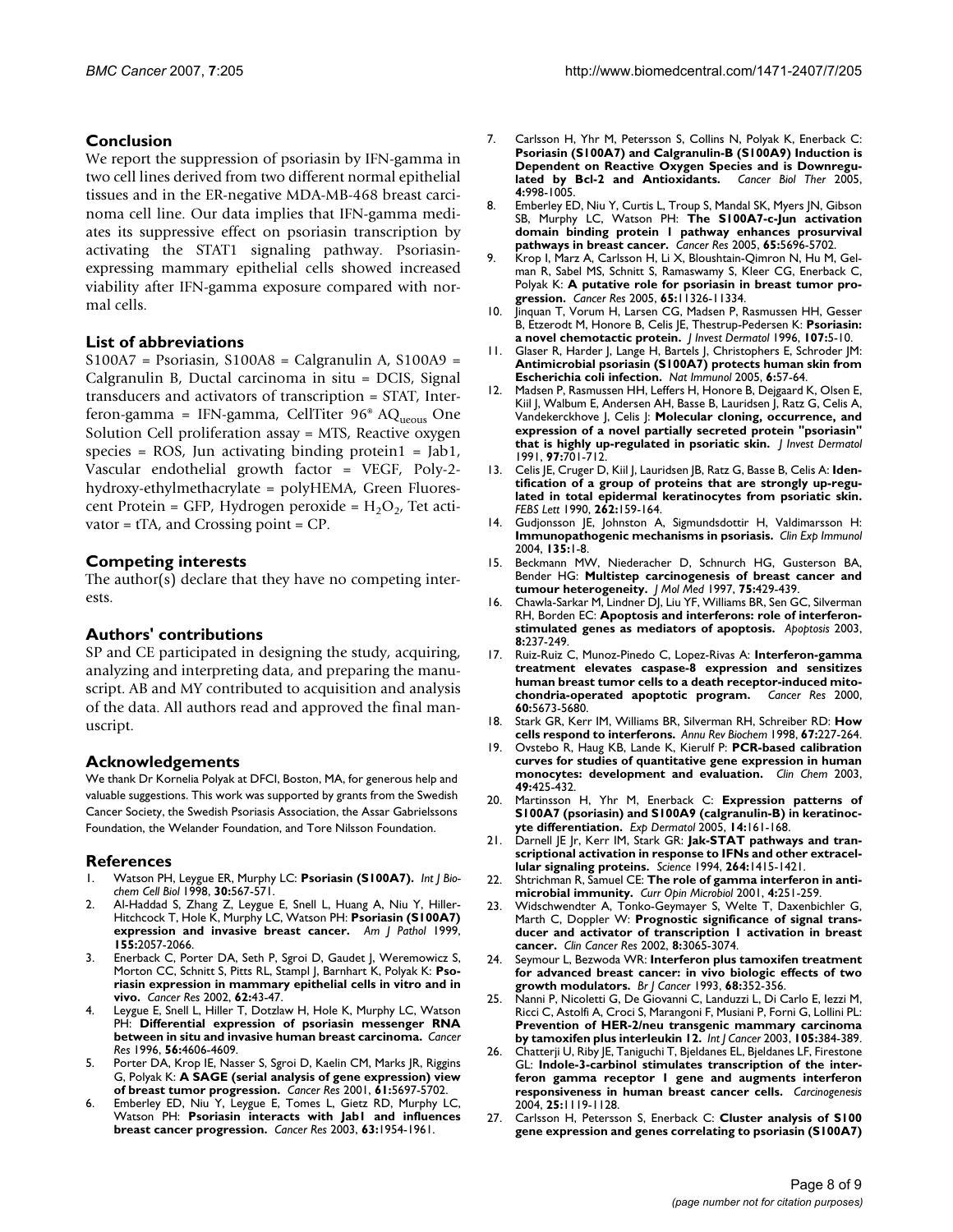### **Conclusion**

We report the suppression of psoriasin by IFN-gamma in two cell lines derived from two different normal epithelial tissues and in the ER-negative MDA-MB-468 breast carcinoma cell line. Our data implies that IFN-gamma mediates its suppressive effect on psoriasin transcription by activating the STAT1 signaling pathway. Psoriasinexpressing mammary epithelial cells showed increased viability after IFN-gamma exposure compared with normal cells.

### **List of abbreviations**

S100A7 = Psoriasin, S100A8 = Calgranulin A, S100A9 = Calgranulin B, Ductal carcinoma in situ = DCIS, Signal transducers and activators of transcription = STAT, Interferon-gamma = IFN-gamma, CellTiter  $96^{\circ}$  AQ<sub>ueous</sub> One Solution Cell proliferation assay = MTS, Reactive oxygen species =  $ROS$ , Jun activating binding protein $1 = Jab1$ , Vascular endothelial growth factor = VEGF, Poly-2 hydroxy-ethylmethacrylate = polyHEMA, Green Fluorescent Protein = GFP, Hydrogen peroxide =  $H_2O_2$ , Tet activator = tTA, and Crossing point = CP.

### **Competing interests**

The author(s) declare that they have no competing interests.

### **Authors' contributions**

SP and CE participated in designing the study, acquiring, analyzing and interpreting data, and preparing the manuscript. AB and MY contributed to acquisition and analysis of the data. All authors read and approved the final manuscript.

### **Acknowledgements**

We thank Dr Kornelia Polyak at DFCI, Boston, MA, for generous help and valuable suggestions. This work was supported by grants from the Swedish Cancer Society, the Swedish Psoriasis Association, the Assar Gabrielssons Foundation, the Welander Foundation, and Tore Nilsson Foundation.

### **References**

- 1. Watson PH, Leygue ER, Murphy LC: **[Psoriasin \(S100A7\).](http://www.ncbi.nlm.nih.gov/entrez/query.fcgi?cmd=Retrieve&db=PubMed&dopt=Abstract&list_uids=9693957)** *Int J Biochem Cell Biol* 1998, **30:**567-571.
- 2. Al-Haddad S, Zhang Z, Leygue E, Snell L, Huang A, Niu Y, Hiller-Hitchcock T, Hole K, Murphy LC, Watson PH: **[Psoriasin \(S100A7\)](http://www.ncbi.nlm.nih.gov/entrez/query.fcgi?cmd=Retrieve&db=PubMed&dopt=Abstract&list_uids=10595935) [expression and invasive breast cancer.](http://www.ncbi.nlm.nih.gov/entrez/query.fcgi?cmd=Retrieve&db=PubMed&dopt=Abstract&list_uids=10595935)** *Am J Pathol* 1999, **155:**2057-2066.
- Enerback C, Porter DA, Seth P, Sgroi D, Gaudet J, Weremowicz S, Morton CC, Schnitt S, Pitts RL, Stampl J, Barnhart K, Polyak K: **[Pso](http://www.ncbi.nlm.nih.gov/entrez/query.fcgi?cmd=Retrieve&db=PubMed&dopt=Abstract&list_uids=11782356)[riasin expression in mammary epithelial cells in vitro and in](http://www.ncbi.nlm.nih.gov/entrez/query.fcgi?cmd=Retrieve&db=PubMed&dopt=Abstract&list_uids=11782356) [vivo.](http://www.ncbi.nlm.nih.gov/entrez/query.fcgi?cmd=Retrieve&db=PubMed&dopt=Abstract&list_uids=11782356)** *Cancer Res* 2002, **62:**43-47.
- Leygue E, Snell L, Hiller T, Dotzlaw H, Hole K, Murphy LC, Watson PH: **[Differential expression of psoriasin messenger RNA](http://www.ncbi.nlm.nih.gov/entrez/query.fcgi?cmd=Retrieve&db=PubMed&dopt=Abstract&list_uids=8840971) [between in situ and invasive human breast carcinoma.](http://www.ncbi.nlm.nih.gov/entrez/query.fcgi?cmd=Retrieve&db=PubMed&dopt=Abstract&list_uids=8840971)** *Cancer Res* 1996, **56:**4606-4609.
- 5. Porter DA, Krop IE, Nasser S, Sgroi D, Kaelin CM, Marks JR, Riggins G, Polyak K: **[A SAGE \(serial analysis of gene expression\) view](http://www.ncbi.nlm.nih.gov/entrez/query.fcgi?cmd=Retrieve&db=PubMed&dopt=Abstract&list_uids=11479200) [of breast tumor progression.](http://www.ncbi.nlm.nih.gov/entrez/query.fcgi?cmd=Retrieve&db=PubMed&dopt=Abstract&list_uids=11479200)** *Cancer Res* 2001, **61:**5697-5702.
- 6. Emberley ED, Niu Y, Leygue E, Tomes L, Gietz RD, Murphy LC, Watson PH: **[Psoriasin interacts with Jab1 and influences](http://www.ncbi.nlm.nih.gov/entrez/query.fcgi?cmd=Retrieve&db=PubMed&dopt=Abstract&list_uids=12702588) [breast cancer progression.](http://www.ncbi.nlm.nih.gov/entrez/query.fcgi?cmd=Retrieve&db=PubMed&dopt=Abstract&list_uids=12702588)** *Cancer Res* 2003, **63:**1954-1961.
- 7. Carlsson H, Yhr M, Petersson S, Collins N, Polyak K, Enerback C: **Psoriasin (S100A7) and Calgranulin-B (S100A9) Induction is Dependent on Reactive Oxygen Species and is Downregulated by Bcl-2 and Antioxidants.** Cancer Biol Ther 2005, [lated by Bcl-2 and Antioxidants.](http://www.ncbi.nlm.nih.gov/entrez/query.fcgi?cmd=Retrieve&db=PubMed&dopt=Abstract&list_uids=16082188) **4:**998-1005.
- 8. Emberley ED, Niu Y, Curtis L, Troup S, Mandal SK, Myers JN, Gibson SB, Murphy LC, Watson PH: **[The S100A7-c-Jun activation](http://www.ncbi.nlm.nih.gov/entrez/query.fcgi?cmd=Retrieve&db=PubMed&dopt=Abstract&list_uids=15994944) [domain binding protein 1 pathway enhances prosurvival](http://www.ncbi.nlm.nih.gov/entrez/query.fcgi?cmd=Retrieve&db=PubMed&dopt=Abstract&list_uids=15994944) [pathways in breast cancer.](http://www.ncbi.nlm.nih.gov/entrez/query.fcgi?cmd=Retrieve&db=PubMed&dopt=Abstract&list_uids=15994944)** *Cancer Res* 2005, **65:**5696-5702.
- 9. Krop I, Marz A, Carlsson H, Li X, Bloushtain-Qimron N, Hu M, Gelman R, Sabel MS, Schnitt S, Ramaswamy S, Kleer CG, Enerback C, Polyak K: **[A putative role for psoriasin in breast tumor pro](http://www.ncbi.nlm.nih.gov/entrez/query.fcgi?cmd=Retrieve&db=PubMed&dopt=Abstract&list_uids=16357139)[gression.](http://www.ncbi.nlm.nih.gov/entrez/query.fcgi?cmd=Retrieve&db=PubMed&dopt=Abstract&list_uids=16357139)** *Cancer Res* 2005, **65:**11326-11334.
- 10. Jinquan T, Vorum H, Larsen CG, Madsen P, Rasmussen HH, Gesser B, Etzerodt M, Honore B, Celis JE, Thestrup-Pedersen K: **[Psoriasin:](http://www.ncbi.nlm.nih.gov/entrez/query.fcgi?cmd=Retrieve&db=PubMed&dopt=Abstract&list_uids=8752830) [a novel chemotactic protein.](http://www.ncbi.nlm.nih.gov/entrez/query.fcgi?cmd=Retrieve&db=PubMed&dopt=Abstract&list_uids=8752830)** *J Invest Dermatol* 1996, **107:**5-10.
- 11. Glaser R, Harder J, Lange H, Bartels J, Christophers E, Schroder JM: **[Antimicrobial psoriasin \(S100A7\) protects human skin from](http://www.ncbi.nlm.nih.gov/entrez/query.fcgi?cmd=Retrieve&db=PubMed&dopt=Abstract&list_uids=15568027) [Escherichia coli infection.](http://www.ncbi.nlm.nih.gov/entrez/query.fcgi?cmd=Retrieve&db=PubMed&dopt=Abstract&list_uids=15568027)** *Nat Immunol* 2005, **6:**57-64.
- 12. Madsen P, Rasmussen HH, Leffers H, Honore B, Dejgaard K, Olsen E, Kiil J, Walbum E, Andersen AH, Basse B, Lauridsen J, Ratz G, Celis A, Vandekerckhove J, Celis J: **[Molecular cloning, occurrence, and](http://www.ncbi.nlm.nih.gov/entrez/query.fcgi?cmd=Retrieve&db=PubMed&dopt=Abstract&list_uids=1940442) [expression of a novel partially secreted protein "psoriasin"](http://www.ncbi.nlm.nih.gov/entrez/query.fcgi?cmd=Retrieve&db=PubMed&dopt=Abstract&list_uids=1940442) [that is highly up-regulated in psoriatic skin.](http://www.ncbi.nlm.nih.gov/entrez/query.fcgi?cmd=Retrieve&db=PubMed&dopt=Abstract&list_uids=1940442)** *J Invest Dermatol* 1991, **97:**701-712.
- 13. Celis JE, Cruger D, Kiil J, Lauridsen JB, Ratz G, Basse B, Celis A: **[Iden](http://www.ncbi.nlm.nih.gov/entrez/query.fcgi?cmd=Retrieve&db=PubMed&dopt=Abstract&list_uids=2185946)tification of a group of proteins that are strongly up-regu[lated in total epidermal keratinocytes from psoriatic skin.](http://www.ncbi.nlm.nih.gov/entrez/query.fcgi?cmd=Retrieve&db=PubMed&dopt=Abstract&list_uids=2185946)** *FEBS Lett* 1990, **262:**159-164.
- 14. Gudjonsson JE, Johnston A, Sigmundsdottir H, Valdimarsson H: **[Immunopathogenic mechanisms in psoriasis.](http://www.ncbi.nlm.nih.gov/entrez/query.fcgi?cmd=Retrieve&db=PubMed&dopt=Abstract&list_uids=14678257)** *Clin Exp Immunol* 2004, **135:**1-8.
- 15. Beckmann MW, Niederacher D, Schnurch HG, Gusterson BA, Bender HG: **[Multistep carcinogenesis of breast cancer and](http://www.ncbi.nlm.nih.gov/entrez/query.fcgi?cmd=Retrieve&db=PubMed&dopt=Abstract&list_uids=9231883) [tumour heterogeneity.](http://www.ncbi.nlm.nih.gov/entrez/query.fcgi?cmd=Retrieve&db=PubMed&dopt=Abstract&list_uids=9231883)** *J Mol Med* 1997, **75:**429-439.
- 16. Chawla-Sarkar M, Lindner DJ, Liu YF, Williams BR, Sen GC, Silverman RH, Borden EC: **[Apoptosis and interferons: role of interferon](http://www.ncbi.nlm.nih.gov/entrez/query.fcgi?cmd=Retrieve&db=PubMed&dopt=Abstract&list_uids=12766484)[stimulated genes as mediators of apoptosis.](http://www.ncbi.nlm.nih.gov/entrez/query.fcgi?cmd=Retrieve&db=PubMed&dopt=Abstract&list_uids=12766484)** *Apoptosis* 2003, **8:**237-249.
- 17. Ruiz-Ruiz C, Munoz-Pinedo C, Lopez-Rivas A: **[Interferon-gamma](http://www.ncbi.nlm.nih.gov/entrez/query.fcgi?cmd=Retrieve&db=PubMed&dopt=Abstract&list_uids=11059759) treatment elevates caspase-8 expression and sensitizes [human breast tumor cells to a death receptor-induced mito](http://www.ncbi.nlm.nih.gov/entrez/query.fcgi?cmd=Retrieve&db=PubMed&dopt=Abstract&list_uids=11059759)[chondria-operated apoptotic program.](http://www.ncbi.nlm.nih.gov/entrez/query.fcgi?cmd=Retrieve&db=PubMed&dopt=Abstract&list_uids=11059759)** *Cancer Res* 2000, **60:**5673-5680.
- 18. Stark GR, Kerr IM, Williams BR, Silverman RH, Schreiber RD: **[How](http://www.ncbi.nlm.nih.gov/entrez/query.fcgi?cmd=Retrieve&db=PubMed&dopt=Abstract&list_uids=9759489) [cells respond to interferons.](http://www.ncbi.nlm.nih.gov/entrez/query.fcgi?cmd=Retrieve&db=PubMed&dopt=Abstract&list_uids=9759489)** *Annu Rev Biochem* 1998, **67:**227-264.
- 19. Ovstebo R, Haug KB, Lande K, Kierulf P: **[PCR-based calibration](http://www.ncbi.nlm.nih.gov/entrez/query.fcgi?cmd=Retrieve&db=PubMed&dopt=Abstract&list_uids=12600954) [curves for studies of quantitative gene expression in human](http://www.ncbi.nlm.nih.gov/entrez/query.fcgi?cmd=Retrieve&db=PubMed&dopt=Abstract&list_uids=12600954) [monocytes: development and evaluation.](http://www.ncbi.nlm.nih.gov/entrez/query.fcgi?cmd=Retrieve&db=PubMed&dopt=Abstract&list_uids=12600954)** *Clin Chem* 2003, **49:**425-432.
- 20. Martinsson H, Yhr M, Enerback C: **[Expression patterns of](http://www.ncbi.nlm.nih.gov/entrez/query.fcgi?cmd=Retrieve&db=PubMed&dopt=Abstract&list_uids=15740587) [S100A7 \(psoriasin\) and S100A9 \(calgranulin-B\) in keratinoc](http://www.ncbi.nlm.nih.gov/entrez/query.fcgi?cmd=Retrieve&db=PubMed&dopt=Abstract&list_uids=15740587)[yte differentiation.](http://www.ncbi.nlm.nih.gov/entrez/query.fcgi?cmd=Retrieve&db=PubMed&dopt=Abstract&list_uids=15740587)** *Exp Dermatol* 2005, **14:**161-168.
- 21. Darnell JE Jr, Kerr IM, Stark GR: **[Jak-STAT pathways and tran](http://www.ncbi.nlm.nih.gov/entrez/query.fcgi?cmd=Retrieve&db=PubMed&dopt=Abstract&list_uids=8197455)[scriptional activation in response to IFNs and other extracel](http://www.ncbi.nlm.nih.gov/entrez/query.fcgi?cmd=Retrieve&db=PubMed&dopt=Abstract&list_uids=8197455)[lular signaling proteins.](http://www.ncbi.nlm.nih.gov/entrez/query.fcgi?cmd=Retrieve&db=PubMed&dopt=Abstract&list_uids=8197455)** *Science* 1994, **264:**1415-1421.
- 22. Shtrichman R, Samuel CE: **[The role of gamma interferon in anti](http://www.ncbi.nlm.nih.gov/entrez/query.fcgi?cmd=Retrieve&db=PubMed&dopt=Abstract&list_uids=11378475)[microbial immunity.](http://www.ncbi.nlm.nih.gov/entrez/query.fcgi?cmd=Retrieve&db=PubMed&dopt=Abstract&list_uids=11378475)** *Curr Opin Microbiol* 2001, **4:**251-259.
- 23. Widschwendter A, Tonko-Geymayer S, Welte T, Daxenbichler G, Marth C, Doppler W: **[Prognostic significance of signal trans](http://www.ncbi.nlm.nih.gov/entrez/query.fcgi?cmd=Retrieve&db=PubMed&dopt=Abstract&list_uids=12374673)[ducer and activator of transcription 1 activation in breast](http://www.ncbi.nlm.nih.gov/entrez/query.fcgi?cmd=Retrieve&db=PubMed&dopt=Abstract&list_uids=12374673) [cancer.](http://www.ncbi.nlm.nih.gov/entrez/query.fcgi?cmd=Retrieve&db=PubMed&dopt=Abstract&list_uids=12374673)** *Clin Cancer Res* 2002, **8:**3065-3074.
- Seymour L, Bezwoda WR: [Interferon plus tamoxifen treatment](http://www.ncbi.nlm.nih.gov/entrez/query.fcgi?cmd=Retrieve&db=PubMed&dopt=Abstract&list_uids=8347490) **[for advanced breast cancer: in vivo biologic effects of two](http://www.ncbi.nlm.nih.gov/entrez/query.fcgi?cmd=Retrieve&db=PubMed&dopt=Abstract&list_uids=8347490) [growth modulators.](http://www.ncbi.nlm.nih.gov/entrez/query.fcgi?cmd=Retrieve&db=PubMed&dopt=Abstract&list_uids=8347490)** *Br J Cancer* 1993, **68:**352-356.
- 25. Nanni P, Nicoletti G, De Giovanni C, Landuzzi L, Di Carlo E, Iezzi M, Ricci C, Astolfi A, Croci S, Marangoni F, Musiani P, Forni G, Lollini PL: **[Prevention of HER-2/neu transgenic mammary carcinoma](http://www.ncbi.nlm.nih.gov/entrez/query.fcgi?cmd=Retrieve&db=PubMed&dopt=Abstract&list_uids=12704673) [by tamoxifen plus interleukin 12.](http://www.ncbi.nlm.nih.gov/entrez/query.fcgi?cmd=Retrieve&db=PubMed&dopt=Abstract&list_uids=12704673)** *Int J Cancer* 2003, **105:**384-389.
- 26. Chatterji U, Riby JE, Taniguchi T, Bjeldanes EL, Bjeldanes LF, Firestone GL: **[Indole-3-carbinol stimulates transcription of the inter](http://www.ncbi.nlm.nih.gov/entrez/query.fcgi?cmd=Retrieve&db=PubMed&dopt=Abstract&list_uids=14988219)[feron gamma receptor 1 gene and augments interferon](http://www.ncbi.nlm.nih.gov/entrez/query.fcgi?cmd=Retrieve&db=PubMed&dopt=Abstract&list_uids=14988219) [responsiveness in human breast cancer cells.](http://www.ncbi.nlm.nih.gov/entrez/query.fcgi?cmd=Retrieve&db=PubMed&dopt=Abstract&list_uids=14988219)** *Carcinogenesis* 2004, **25:**1119-1128.
- 27. Carlsson H, Petersson S, Enerback C: **[Cluster analysis of S100](http://www.ncbi.nlm.nih.gov/entrez/query.fcgi?cmd=Retrieve&db=PubMed&dopt=Abstract&list_uids=16273201) [gene expression and genes correlating to psoriasin \(S100A7\)](http://www.ncbi.nlm.nih.gov/entrez/query.fcgi?cmd=Retrieve&db=PubMed&dopt=Abstract&list_uids=16273201)**